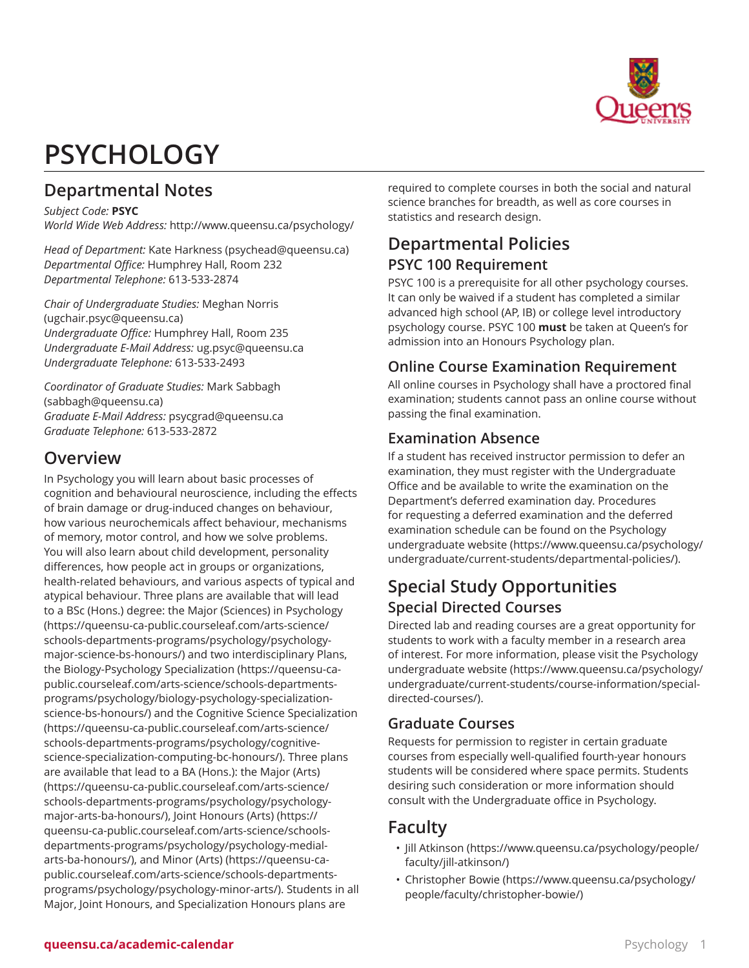

# **PSYCHOLOGY**

# **Departmental Notes**

#### *Subject Code:* **PSYC**

*World Wide Web Address:* http://www.queensu.ca/psychology/

*Head of Department:* [Kate Harkness](mailto:psychead@queensu.ca) ([psychead@queensu.ca\)](psychead@queensu.ca) *Departmental Office:* Humphrey Hall, Room 232 *Departmental Telephone:* 613-533-2874

*Chair of Undergraduate Studies:* [Meghan Norris](mailto:ugchair.psyc@queensu.ca) (<ugchair.psyc@queensu.ca>) *Undergraduate Office:* Humphrey Hall, Room 235 *Undergraduate E-Mail Address:* [ug.psyc@queensu.ca](mailto:ug.psyc@queensu.ca) *Undergraduate Telephone:* 613-533-2493

*Coordinator of Graduate Studies:* [Mark Sabbagh](mailto:sabbagh@queensu.ca) ([sabbagh@queensu.ca\)](sabbagh@queensu.ca) *Graduate E-Mail Address:* [psycgrad@queensu.ca](mailto:psycgrad@queensu.ca) *Graduate Telephone:* 613-533-2872

# **Overview**

In Psychology you will learn about basic processes of cognition and behavioural neuroscience, including the effects of brain damage or drug-induced changes on behaviour, how various neurochemicals affect behaviour, mechanisms of memory, motor control, and how we solve problems. You will also learn about child development, personality differences, how people act in groups or organizations, health-related behaviours, and various aspects of typical and atypical behaviour. Three plans are available that will lead to a BSc (Hons.) degree: the [Major \(Sciences\) in Psychology](https://queensu-ca-public.courseleaf.com/arts-science/schools-departments-programs/psychology/psychology-major-science-bs-honours/) ([https://queensu-ca-public.courseleaf.com/arts-science/](https://queensu-ca-public.courseleaf.com/arts-science/schools-departments-programs/psychology/psychology-major-science-bs-honours/) [schools-departments-programs/psychology/psychology](https://queensu-ca-public.courseleaf.com/arts-science/schools-departments-programs/psychology/psychology-major-science-bs-honours/)[major-science-bs-honours/\)](https://queensu-ca-public.courseleaf.com/arts-science/schools-departments-programs/psychology/psychology-major-science-bs-honours/) and two interdisciplinary Plans, the [Biology-Psychology Specialization](https://queensu-ca-public.courseleaf.com/arts-science/schools-departments-programs/psychology/biology-psychology-specialization-science-bs-honours/) ([https://queensu-ca](https://queensu-ca-public.courseleaf.com/arts-science/schools-departments-programs/psychology/biology-psychology-specialization-science-bs-honours/)[public.courseleaf.com/arts-science/schools-departments](https://queensu-ca-public.courseleaf.com/arts-science/schools-departments-programs/psychology/biology-psychology-specialization-science-bs-honours/)[programs/psychology/biology-psychology-specialization](https://queensu-ca-public.courseleaf.com/arts-science/schools-departments-programs/psychology/biology-psychology-specialization-science-bs-honours/)[science-bs-honours/](https://queensu-ca-public.courseleaf.com/arts-science/schools-departments-programs/psychology/biology-psychology-specialization-science-bs-honours/)) and the [Cognitive Science Specialization](https://queensu-ca-public.courseleaf.com/arts-science/schools-departments-programs/psychology/cognitive-science-specialization-computing-bc-honours/) ([https://queensu-ca-public.courseleaf.com/arts-science/](https://queensu-ca-public.courseleaf.com/arts-science/schools-departments-programs/psychology/cognitive-science-specialization-computing-bc-honours/) [schools-departments-programs/psychology/cognitive](https://queensu-ca-public.courseleaf.com/arts-science/schools-departments-programs/psychology/cognitive-science-specialization-computing-bc-honours/)[science-specialization-computing-bc-honours/](https://queensu-ca-public.courseleaf.com/arts-science/schools-departments-programs/psychology/cognitive-science-specialization-computing-bc-honours/)). Three plans are available that lead to a BA (Hons.): the [Major \(Arts\)](https://queensu-ca-public.courseleaf.com/arts-science/schools-departments-programs/psychology/psychology-major-arts-ba-honours/) ([https://queensu-ca-public.courseleaf.com/arts-science/](https://queensu-ca-public.courseleaf.com/arts-science/schools-departments-programs/psychology/psychology-major-arts-ba-honours/) [schools-departments-programs/psychology/psychology](https://queensu-ca-public.courseleaf.com/arts-science/schools-departments-programs/psychology/psychology-major-arts-ba-honours/)[major-arts-ba-honours/\)](https://queensu-ca-public.courseleaf.com/arts-science/schools-departments-programs/psychology/psychology-major-arts-ba-honours/), [Joint Honours \(Arts\)](https://queensu-ca-public.courseleaf.com/arts-science/schools-departments-programs/psychology/psychology-medial-arts-ba-honours/) [\(https://](https://queensu-ca-public.courseleaf.com/arts-science/schools-departments-programs/psychology/psychology-medial-arts-ba-honours/) [queensu-ca-public.courseleaf.com/arts-science/schools](https://queensu-ca-public.courseleaf.com/arts-science/schools-departments-programs/psychology/psychology-medial-arts-ba-honours/)[departments-programs/psychology/psychology-medial](https://queensu-ca-public.courseleaf.com/arts-science/schools-departments-programs/psychology/psychology-medial-arts-ba-honours/)[arts-ba-honours/](https://queensu-ca-public.courseleaf.com/arts-science/schools-departments-programs/psychology/psychology-medial-arts-ba-honours/)), and [Minor \(Arts\)](https://queensu-ca-public.courseleaf.com/arts-science/schools-departments-programs/psychology/psychology-minor-arts/) [\(https://queensu-ca](https://queensu-ca-public.courseleaf.com/arts-science/schools-departments-programs/psychology/psychology-minor-arts/)[public.courseleaf.com/arts-science/schools-departments](https://queensu-ca-public.courseleaf.com/arts-science/schools-departments-programs/psychology/psychology-minor-arts/)[programs/psychology/psychology-minor-arts/](https://queensu-ca-public.courseleaf.com/arts-science/schools-departments-programs/psychology/psychology-minor-arts/)). Students in all Major, Joint Honours, and Specialization Honours plans are

required to complete courses in both the social and natural science branches for breadth, as well as core courses in statistics and research design.

# **Departmental Policies PSYC 100 Requirement**

PSYC 100 is a prerequisite for all other psychology courses. It can only be waived if a student has completed a similar advanced high school (AP, IB) or college level introductory psychology course. PSYC 100 **must** be taken at Queen's for admission into an Honours Psychology plan.

## **Online Course Examination Requirement**

All online courses in Psychology shall have a proctored final examination; students cannot pass an online course without passing the final examination.

### **Examination Absence**

If a student has received instructor permission to defer an examination, they must register with the Undergraduate Office and be available to write the examination on the Department's deferred examination day. Procedures for requesting a deferred examination and the deferred examination schedule can be found on the [Psychology](https://www.queensu.ca/psychology/undergraduate/current-students/departmental-policies/) [undergraduate](https://www.queensu.ca/psychology/undergraduate/current-students/departmental-policies/) website ([https://www.queensu.ca/psychology/](https://www.queensu.ca/psychology/undergraduate/current-students/departmental-policies/) [undergraduate/current-students/departmental-policies/\)](https://www.queensu.ca/psychology/undergraduate/current-students/departmental-policies/).

# **Special Study Opportunities Special Directed Courses**

Directed lab and reading courses are a great opportunity for students to work with a faculty member in a research area of interest. For more information, please visit the [Psychology](https://www.queensu.ca/psychology/undergraduate/current-students/course-information/special-directed-courses/) [undergraduate](https://www.queensu.ca/psychology/undergraduate/current-students/course-information/special-directed-courses/) website ([https://www.queensu.ca/psychology/](https://www.queensu.ca/psychology/undergraduate/current-students/course-information/special-directed-courses/) [undergraduate/current-students/course-information/special](https://www.queensu.ca/psychology/undergraduate/current-students/course-information/special-directed-courses/)[directed-courses/](https://www.queensu.ca/psychology/undergraduate/current-students/course-information/special-directed-courses/)).

# **Graduate Courses**

Requests for permission to register in certain graduate courses from especially well-qualified fourth-year honours students will be considered where space permits. Students desiring such consideration or more information should consult with the Undergraduate office in Psychology.

# **Faculty**

- [Jill Atkinson](https://www.queensu.ca/psychology/people/faculty/jill-atkinson/) [\(https://www.queensu.ca/psychology/people/](https://www.queensu.ca/psychology/people/faculty/jill-atkinson/) [faculty/jill-atkinson/\)](https://www.queensu.ca/psychology/people/faculty/jill-atkinson/)
- [Christopher](https://www.queensu.ca/psychology/people/faculty/christopher-bowie/) Bowie ([https://www.queensu.ca/psychology/](https://www.queensu.ca/psychology/people/faculty/christopher-bowie/) [people/faculty/christopher-bowie/](https://www.queensu.ca/psychology/people/faculty/christopher-bowie/))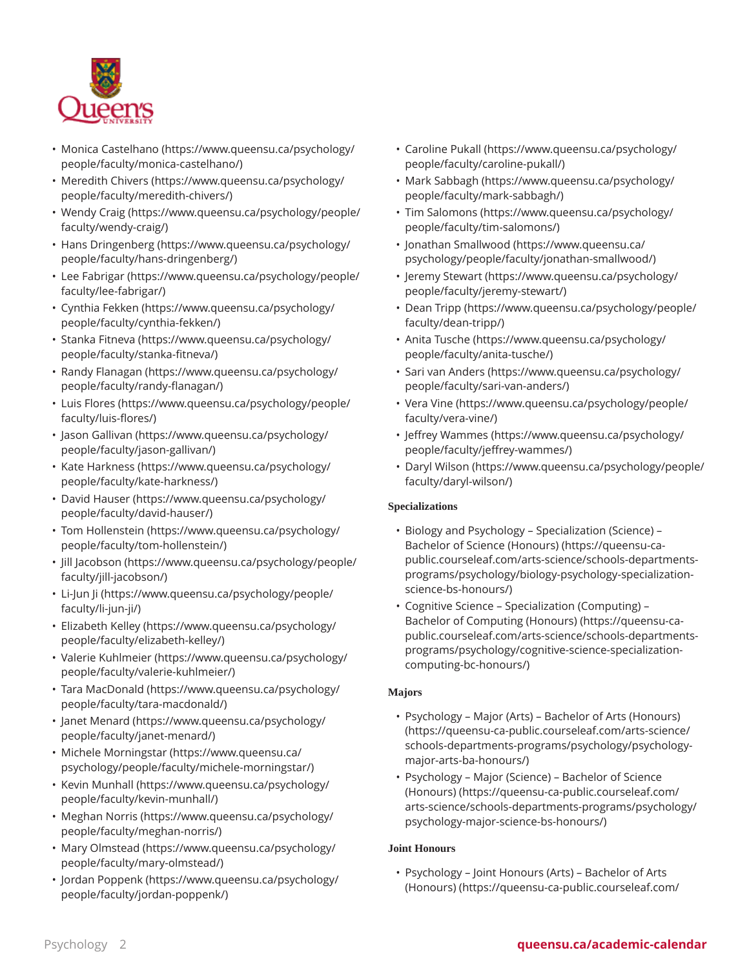

- [Monica Castelhano](https://www.queensu.ca/psychology/people/faculty/monica-castelhano/) ([https://www.queensu.ca/psychology/](https://www.queensu.ca/psychology/people/faculty/monica-castelhano/) [people/faculty/monica-castelhano/\)](https://www.queensu.ca/psychology/people/faculty/monica-castelhano/)
- [Meredith](https://www.queensu.ca/psychology/people/faculty/meredith-chivers/) Chivers [\(https://www.queensu.ca/psychology/](https://www.queensu.ca/psychology/people/faculty/meredith-chivers/) [people/faculty/meredith-chivers/](https://www.queensu.ca/psychology/people/faculty/meredith-chivers/))
- [Wendy](https://www.queensu.ca/psychology/people/faculty/wendy-craig/) Craig [\(https://www.queensu.ca/psychology/people/](https://www.queensu.ca/psychology/people/faculty/wendy-craig/) [faculty/wendy-craig/\)](https://www.queensu.ca/psychology/people/faculty/wendy-craig/)
- Hans [Dringenberg](https://www.queensu.ca/psychology/people/faculty/hans-dringenberg/) [\(https://www.queensu.ca/psychology/](https://www.queensu.ca/psychology/people/faculty/hans-dringenberg/) [people/faculty/hans-dringenberg/](https://www.queensu.ca/psychology/people/faculty/hans-dringenberg/))
- [Lee Fabrigar](https://www.queensu.ca/psychology/people/faculty/lee-fabrigar/) ([https://www.queensu.ca/psychology/people/](https://www.queensu.ca/psychology/people/faculty/lee-fabrigar/) [faculty/lee-fabrigar/\)](https://www.queensu.ca/psychology/people/faculty/lee-fabrigar/)
- [Cynthia](https://www.queensu.ca/psychology/people/faculty/cynthia-fekken/) Fekken ([https://www.queensu.ca/psychology/](https://www.queensu.ca/psychology/people/faculty/cynthia-fekken/) [people/faculty/cynthia-fekken/\)](https://www.queensu.ca/psychology/people/faculty/cynthia-fekken/)
- Stanka [Fitneva](https://www.queensu.ca/psychology/people/faculty/stanka-fitneva/) ([https://www.queensu.ca/psychology/](https://www.queensu.ca/psychology/people/faculty/stanka-fitneva/) [people/faculty/stanka-fitneva/\)](https://www.queensu.ca/psychology/people/faculty/stanka-fitneva/)
- [Randy Flanagan](https://www.queensu.ca/psychology/people/faculty/randy-flanagan/) [\(https://www.queensu.ca/psychology/](https://www.queensu.ca/psychology/people/faculty/randy-flanagan/) [people/faculty/randy-flanagan/\)](https://www.queensu.ca/psychology/people/faculty/randy-flanagan/)
- Luis [Flores](https://www.queensu.ca/psychology/people/faculty/luis-flores/) [\(https://www.queensu.ca/psychology/people/](https://www.queensu.ca/psychology/people/faculty/luis-flores/) [faculty/luis-flores/](https://www.queensu.ca/psychology/people/faculty/luis-flores/))
- [Jason Gallivan](https://www.queensu.ca/psychology/people/faculty/jason-gallivan/) [\(https://www.queensu.ca/psychology/](https://www.queensu.ca/psychology/people/faculty/jason-gallivan/) [people/faculty/jason-gallivan/\)](https://www.queensu.ca/psychology/people/faculty/jason-gallivan/)
- [Kate Harkness](https://www.queensu.ca/psychology/people/faculty/kate-harkness/) [\(https://www.queensu.ca/psychology/](https://www.queensu.ca/psychology/people/faculty/kate-harkness/) [people/faculty/kate-harkness/](https://www.queensu.ca/psychology/people/faculty/kate-harkness/))
- [David Hauser](https://www.queensu.ca/psychology/people/faculty/david-hauser/) [\(https://www.queensu.ca/psychology/](https://www.queensu.ca/psychology/people/faculty/david-hauser/) [people/faculty/david-hauser/](https://www.queensu.ca/psychology/people/faculty/david-hauser/))
- Tom [Hollenstein](https://www.queensu.ca/psychology/people/faculty/tom-hollenstein/) ([https://www.queensu.ca/psychology/](https://www.queensu.ca/psychology/people/faculty/tom-hollenstein/) [people/faculty/tom-hollenstein/\)](https://www.queensu.ca/psychology/people/faculty/tom-hollenstein/)
- [Jill Jacobson](https://www.queensu.ca/psychology/people/faculty/jill-jacobson/) [\(https://www.queensu.ca/psychology/people/](https://www.queensu.ca/psychology/people/faculty/jill-jacobson/) [faculty/jill-jacobson/](https://www.queensu.ca/psychology/people/faculty/jill-jacobson/))
- [Li-Jun Ji](https://www.queensu.ca/psychology/people/faculty/li-jun-ji/) [\(https://www.queensu.ca/psychology/people/](https://www.queensu.ca/psychology/people/faculty/li-jun-ji/) [faculty/li-jun-ji/\)](https://www.queensu.ca/psychology/people/faculty/li-jun-ji/)
- [Elizabeth](https://www.queensu.ca/psychology/people/faculty/elizabeth-kelley/) Kelley ([https://www.queensu.ca/psychology/](https://www.queensu.ca/psychology/people/faculty/elizabeth-kelley/) [people/faculty/elizabeth-kelley/\)](https://www.queensu.ca/psychology/people/faculty/elizabeth-kelley/)
- Valerie [Kuhlmeier](https://www.queensu.ca/psychology/people/faculty/valerie-kuhlmeier/) [\(https://www.queensu.ca/psychology/](https://www.queensu.ca/psychology/people/faculty/valerie-kuhlmeier/) [people/faculty/valerie-kuhlmeier/\)](https://www.queensu.ca/psychology/people/faculty/valerie-kuhlmeier/)
- Tara [MacDonald](https://www.queensu.ca/psychology/people/faculty/tara-macdonald/) ([https://www.queensu.ca/psychology/](https://www.queensu.ca/psychology/people/faculty/tara-macdonald/) [people/faculty/tara-macdonald/](https://www.queensu.ca/psychology/people/faculty/tara-macdonald/))
- Janet [Menard](https://www.queensu.ca/psychology/people/faculty/janet-menard/) [\(https://www.queensu.ca/psychology/](https://www.queensu.ca/psychology/people/faculty/janet-menard/) [people/faculty/janet-menard/](https://www.queensu.ca/psychology/people/faculty/janet-menard/))
- [Michele Morningstar](https://www.queensu.ca/psychology/people/faculty/michele-morningstar/) [\(https://www.queensu.ca/](https://www.queensu.ca/psychology/people/faculty/michele-morningstar/) [psychology/people/faculty/michele-morningstar/](https://www.queensu.ca/psychology/people/faculty/michele-morningstar/))
- Kevin [Munhall](https://www.queensu.ca/psychology/people/faculty/kevin-munhall/) [\(https://www.queensu.ca/psychology/](https://www.queensu.ca/psychology/people/faculty/kevin-munhall/) [people/faculty/kevin-munhall/\)](https://www.queensu.ca/psychology/people/faculty/kevin-munhall/)
- [Meghan Norris](https://www.queensu.ca/psychology/people/faculty/meghan-norris/) ([https://www.queensu.ca/psychology/](https://www.queensu.ca/psychology/people/faculty/meghan-norris/) [people/faculty/meghan-norris/\)](https://www.queensu.ca/psychology/people/faculty/meghan-norris/)
- [Mary Olmstead](https://www.queensu.ca/psychology/people/faculty/mary-olmstead/) [\(https://www.queensu.ca/psychology/](https://www.queensu.ca/psychology/people/faculty/mary-olmstead/) [people/faculty/mary-olmstead/](https://www.queensu.ca/psychology/people/faculty/mary-olmstead/))
- Jordan [Poppenk](https://www.queensu.ca/psychology/people/faculty/jordan-poppenk/) ([https://www.queensu.ca/psychology/](https://www.queensu.ca/psychology/people/faculty/jordan-poppenk/) [people/faculty/jordan-poppenk/\)](https://www.queensu.ca/psychology/people/faculty/jordan-poppenk/)
- [Caroline](https://www.queensu.ca/psychology/people/faculty/caroline-pukall/) Pukall [\(https://www.queensu.ca/psychology/](https://www.queensu.ca/psychology/people/faculty/caroline-pukall/) [people/faculty/caroline-pukall/](https://www.queensu.ca/psychology/people/faculty/caroline-pukall/))
- [Mark Sabbagh](https://www.queensu.ca/psychology/people/faculty/mark-sabbagh/) [\(https://www.queensu.ca/psychology/](https://www.queensu.ca/psychology/people/faculty/mark-sabbagh/) [people/faculty/mark-sabbagh/](https://www.queensu.ca/psychology/people/faculty/mark-sabbagh/))
- [Tim Salomons](https://www.queensu.ca/psychology/people/faculty/tim-salomons/) [\(https://www.queensu.ca/psychology/](https://www.queensu.ca/psychology/people/faculty/tim-salomons/) [people/faculty/tim-salomons/](https://www.queensu.ca/psychology/people/faculty/tim-salomons/))
- [Jonathan Smallwood](https://www.queensu.ca/psychology/people/faculty/jonathan-smallwood/) [\(https://www.queensu.ca/](https://www.queensu.ca/psychology/people/faculty/jonathan-smallwood/) [psychology/people/faculty/jonathan-smallwood/\)](https://www.queensu.ca/psychology/people/faculty/jonathan-smallwood/)
- Jeremy [Stewart](https://www.queensu.ca/psychology/people/faculty/jeremy-stewart/) [\(https://www.queensu.ca/psychology/](https://www.queensu.ca/psychology/people/faculty/jeremy-stewart/) [people/faculty/jeremy-stewart/\)](https://www.queensu.ca/psychology/people/faculty/jeremy-stewart/)
- [Dean](https://www.queensu.ca/psychology/people/faculty/dean-tripp/) Tripp [\(https://www.queensu.ca/psychology/people/](https://www.queensu.ca/psychology/people/faculty/dean-tripp/) [faculty/dean-tripp/\)](https://www.queensu.ca/psychology/people/faculty/dean-tripp/)
- Anita [Tusche](https://www.queensu.ca/psychology/people/faculty/anita-tusche/) [\(https://www.queensu.ca/psychology/](https://www.queensu.ca/psychology/people/faculty/anita-tusche/) [people/faculty/anita-tusche/](https://www.queensu.ca/psychology/people/faculty/anita-tusche/))
- [Sari van Anders](https://www.queensu.ca/psychology/people/faculty/sari-van-anders/) ([https://www.queensu.ca/psychology/](https://www.queensu.ca/psychology/people/faculty/sari-van-anders/) [people/faculty/sari-van-anders/\)](https://www.queensu.ca/psychology/people/faculty/sari-van-anders/)
- [Vera](https://www.queensu.ca/psychology/people/faculty/vera-vine/) Vine [\(https://www.queensu.ca/psychology/people/](https://www.queensu.ca/psychology/people/faculty/vera-vine/) [faculty/vera-vine/\)](https://www.queensu.ca/psychology/people/faculty/vera-vine/)
- Jeffrey [Wammes](https://www.queensu.ca/psychology/people/faculty/jeffrey-wammes/) [\(https://www.queensu.ca/psychology/](https://www.queensu.ca/psychology/people/faculty/jeffrey-wammes/) [people/faculty/jeffrey-wammes/](https://www.queensu.ca/psychology/people/faculty/jeffrey-wammes/))
- [Daryl Wilson](https://www.queensu.ca/psychology/people/faculty/daryl-wilson/) ([https://www.queensu.ca/psychology/people/](https://www.queensu.ca/psychology/people/faculty/daryl-wilson/) [faculty/daryl-wilson/](https://www.queensu.ca/psychology/people/faculty/daryl-wilson/))

#### **Specializations**

- [Biology and Psychology Specialization \(Science\) –](https://queensu-ca-public.courseleaf.com/arts-science/schools-departments-programs/psychology/biology-psychology-specialization-science-bs-honours/) [Bachelor of Science \(Honours\)](https://queensu-ca-public.courseleaf.com/arts-science/schools-departments-programs/psychology/biology-psychology-specialization-science-bs-honours/) ([https://queensu-ca](https://queensu-ca-public.courseleaf.com/arts-science/schools-departments-programs/psychology/biology-psychology-specialization-science-bs-honours/)[public.courseleaf.com/arts-science/schools-departments](https://queensu-ca-public.courseleaf.com/arts-science/schools-departments-programs/psychology/biology-psychology-specialization-science-bs-honours/)[programs/psychology/biology-psychology-specialization](https://queensu-ca-public.courseleaf.com/arts-science/schools-departments-programs/psychology/biology-psychology-specialization-science-bs-honours/)[science-bs-honours/](https://queensu-ca-public.courseleaf.com/arts-science/schools-departments-programs/psychology/biology-psychology-specialization-science-bs-honours/))
- [Cognitive Science Specialization \(Computing\) –](https://queensu-ca-public.courseleaf.com/arts-science/schools-departments-programs/psychology/cognitive-science-specialization-computing-bc-honours/) [Bachelor of Computing \(Honours\)](https://queensu-ca-public.courseleaf.com/arts-science/schools-departments-programs/psychology/cognitive-science-specialization-computing-bc-honours/) ([https://queensu-ca](https://queensu-ca-public.courseleaf.com/arts-science/schools-departments-programs/psychology/cognitive-science-specialization-computing-bc-honours/)[public.courseleaf.com/arts-science/schools-departments](https://queensu-ca-public.courseleaf.com/arts-science/schools-departments-programs/psychology/cognitive-science-specialization-computing-bc-honours/)[programs/psychology/cognitive-science-specialization](https://queensu-ca-public.courseleaf.com/arts-science/schools-departments-programs/psychology/cognitive-science-specialization-computing-bc-honours/)[computing-bc-honours/\)](https://queensu-ca-public.courseleaf.com/arts-science/schools-departments-programs/psychology/cognitive-science-specialization-computing-bc-honours/)

#### **Majors**

- [Psychology Major \(Arts\) Bachelor of Arts \(Honours\)](https://queensu-ca-public.courseleaf.com/arts-science/schools-departments-programs/psychology/psychology-major-arts-ba-honours/) ([https://queensu-ca-public.courseleaf.com/arts-science/](https://queensu-ca-public.courseleaf.com/arts-science/schools-departments-programs/psychology/psychology-major-arts-ba-honours/) [schools-departments-programs/psychology/psychology](https://queensu-ca-public.courseleaf.com/arts-science/schools-departments-programs/psychology/psychology-major-arts-ba-honours/)[major-arts-ba-honours/](https://queensu-ca-public.courseleaf.com/arts-science/schools-departments-programs/psychology/psychology-major-arts-ba-honours/))
- [Psychology Major \(Science\) Bachelor of Science](https://queensu-ca-public.courseleaf.com/arts-science/schools-departments-programs/psychology/psychology-major-science-bs-honours/) [\(Honours\)](https://queensu-ca-public.courseleaf.com/arts-science/schools-departments-programs/psychology/psychology-major-science-bs-honours/) [\(https://queensu-ca-public.courseleaf.com/](https://queensu-ca-public.courseleaf.com/arts-science/schools-departments-programs/psychology/psychology-major-science-bs-honours/) [arts-science/schools-departments-programs/psychology/](https://queensu-ca-public.courseleaf.com/arts-science/schools-departments-programs/psychology/psychology-major-science-bs-honours/) [psychology-major-science-bs-honours/\)](https://queensu-ca-public.courseleaf.com/arts-science/schools-departments-programs/psychology/psychology-major-science-bs-honours/)

#### **Joint Honours**

• [Psychology – Joint Honours \(Arts\) – Bachelor of Arts](https://queensu-ca-public.courseleaf.com/arts-science/schools-departments-programs/psychology/psychology-medial-arts-ba-honours/) [\(Honours\)](https://queensu-ca-public.courseleaf.com/arts-science/schools-departments-programs/psychology/psychology-medial-arts-ba-honours/) [\(https://queensu-ca-public.courseleaf.com/](https://queensu-ca-public.courseleaf.com/arts-science/schools-departments-programs/psychology/psychology-medial-arts-ba-honours/)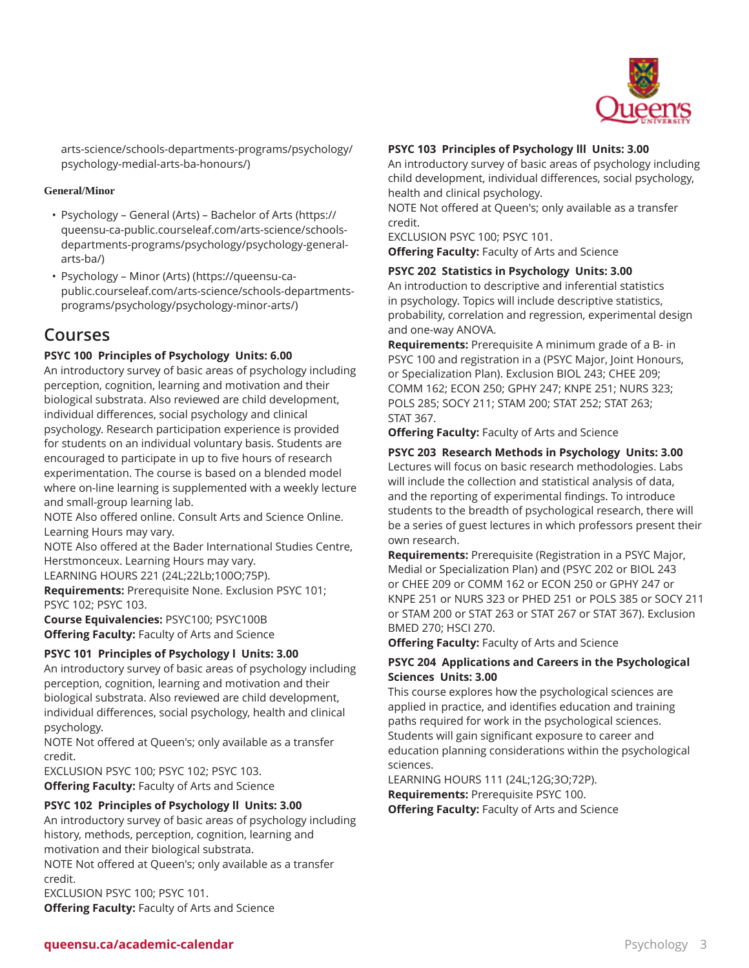

[arts-science/schools-departments-programs/psychology/](https://queensu-ca-public.courseleaf.com/arts-science/schools-departments-programs/psychology/psychology-medial-arts-ba-honours/) [psychology-medial-arts-ba-honours/](https://queensu-ca-public.courseleaf.com/arts-science/schools-departments-programs/psychology/psychology-medial-arts-ba-honours/))

#### **General/Minor**

- [Psychology](https://queensu-ca-public.courseleaf.com/arts-science/schools-departments-programs/psychology/psychology-general-arts-ba/) General (Arts) Bachelor of Arts [\(https://](https://queensu-ca-public.courseleaf.com/arts-science/schools-departments-programs/psychology/psychology-general-arts-ba/) [queensu-ca-public.courseleaf.com/arts-science/schools](https://queensu-ca-public.courseleaf.com/arts-science/schools-departments-programs/psychology/psychology-general-arts-ba/)[departments-programs/psychology/psychology-general](https://queensu-ca-public.courseleaf.com/arts-science/schools-departments-programs/psychology/psychology-general-arts-ba/)[arts-ba/\)](https://queensu-ca-public.courseleaf.com/arts-science/schools-departments-programs/psychology/psychology-general-arts-ba/)
- [Psychology Minor \(Arts\)](https://queensu-ca-public.courseleaf.com/arts-science/schools-departments-programs/psychology/psychology-minor-arts/) [\(https://queensu-ca](https://queensu-ca-public.courseleaf.com/arts-science/schools-departments-programs/psychology/psychology-minor-arts/)[public.courseleaf.com/arts-science/schools-departments](https://queensu-ca-public.courseleaf.com/arts-science/schools-departments-programs/psychology/psychology-minor-arts/)[programs/psychology/psychology-minor-arts/](https://queensu-ca-public.courseleaf.com/arts-science/schools-departments-programs/psychology/psychology-minor-arts/))

### **Courses**

#### **PSYC 100 Principles of Psychology Units: 6.00**

An introductory survey of basic areas of psychology including perception, cognition, learning and motivation and their biological substrata. Also reviewed are child development, individual differences, social psychology and clinical psychology. Research participation experience is provided for students on an individual voluntary basis. Students are encouraged to participate in up to five hours of research experimentation. The course is based on a blended model where on-line learning is supplemented with a weekly lecture and small-group learning lab.

NOTE Also offered online. Consult Arts and Science Online. Learning Hours may vary.

NOTE Also offered at the Bader International Studies Centre, Herstmonceux. Learning Hours may vary.

LEARNING HOURS 221 (24L;22Lb;100O;75P).

**Requirements:** Prerequisite None. Exclusion PSYC 101; PSYC 102; PSYC 103.

**Course Equivalencies:** PSYC100; PSYC100B **Offering Faculty:** Faculty of Arts and Science

#### **PSYC 101 Principles of Psychology l Units: 3.00**

An introductory survey of basic areas of psychology including perception, cognition, learning and motivation and their biological substrata. Also reviewed are child development, individual differences, social psychology, health and clinical psychology.

NOTE Not offered at Queen's; only available as a transfer credit.

EXCLUSION PSYC 100; PSYC 102; PSYC 103. **Offering Faculty:** Faculty of Arts and Science

#### **PSYC 102 Principles of Psychology ll Units: 3.00**

An introductory survey of basic areas of psychology including history, methods, perception, cognition, learning and motivation and their biological substrata.

NOTE Not offered at Queen's; only available as a transfer credit.

EXCLUSION PSYC 100; PSYC 101.

**Offering Faculty:** Faculty of Arts and Science

### **PSYC 103 Principles of Psychology lll Units: 3.00**

An introductory survey of basic areas of psychology including child development, individual differences, social psychology, health and clinical psychology.

NOTE Not offered at Queen's; only available as a transfer credit.

EXCLUSION PSYC 100; PSYC 101.

**Offering Faculty:** Faculty of Arts and Science

#### **PSYC 202 Statistics in Psychology Units: 3.00**

An introduction to descriptive and inferential statistics in psychology. Topics will include descriptive statistics, probability, correlation and regression, experimental design and one-way ANOVA.

**Requirements:** Prerequisite A minimum grade of a B- in PSYC 100 and registration in a (PSYC Major, Joint Honours, or Specialization Plan). Exclusion BIOL 243; CHEE 209; COMM 162; ECON 250; GPHY 247; KNPE 251; NURS 323; POLS 285; SOCY 211; STAM 200; STAT 252; STAT 263; STAT 367.

**Offering Faculty:** Faculty of Arts and Science

### **PSYC 203 Research Methods in Psychology Units: 3.00**

Lectures will focus on basic research methodologies. Labs will include the collection and statistical analysis of data, and the reporting of experimental findings. To introduce students to the breadth of psychological research, there will be a series of guest lectures in which professors present their own research.

**Requirements:** Prerequisite (Registration in a PSYC Major, Medial or Specialization Plan) and (PSYC 202 or BIOL 243 or CHEE 209 or COMM 162 or ECON 250 or GPHY 247 or KNPE 251 or NURS 323 or PHED 251 or POLS 385 or SOCY 211 or STAM 200 or STAT 263 or STAT 267 or STAT 367). Exclusion BMED 270; HSCI 270.

**Offering Faculty:** Faculty of Arts and Science

#### **PSYC 204 Applications and Careers in the Psychological Sciences Units: 3.00**

This course explores how the psychological sciences are applied in practice, and identifies education and training paths required for work in the psychological sciences. Students will gain significant exposure to career and education planning considerations within the psychological sciences.

LEARNING HOURS 111 (24L;12G;3O;72P). **Requirements:** Prerequisite PSYC 100. **Offering Faculty:** Faculty of Arts and Science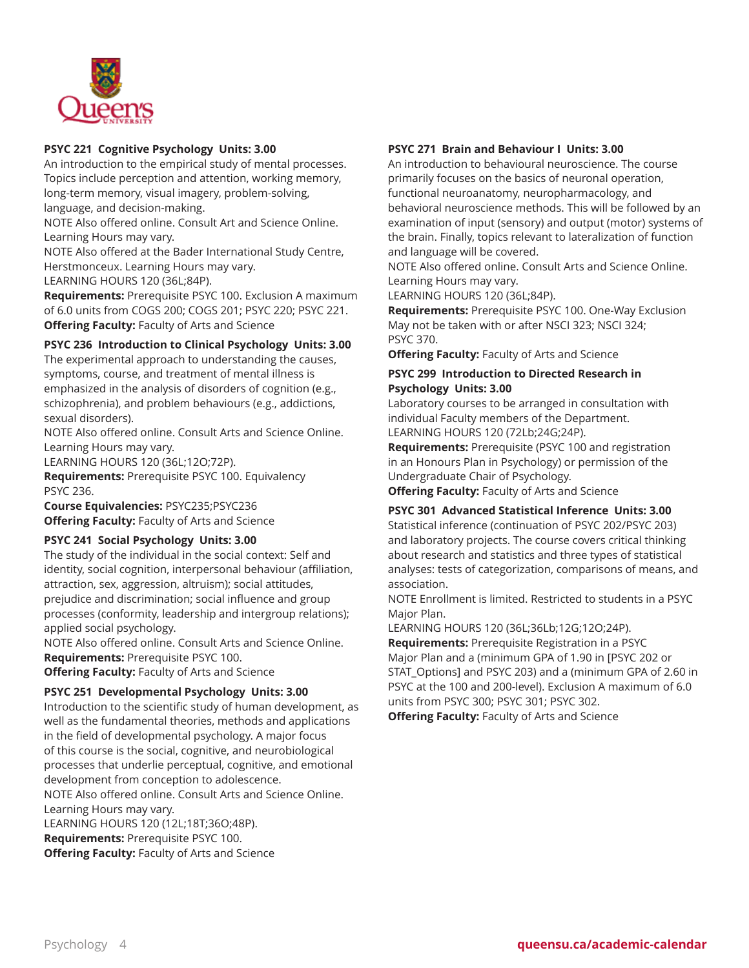

#### **PSYC 221 Cognitive Psychology Units: 3.00**

An introduction to the empirical study of mental processes. Topics include perception and attention, working memory, long-term memory, visual imagery, problem-solving, language, and decision-making.

NOTE Also offered online. Consult Art and Science Online. Learning Hours may vary.

NOTE Also offered at the Bader International Study Centre, Herstmonceux. Learning Hours may vary.

LEARNING HOURS 120 (36L;84P).

**Requirements:** Prerequisite PSYC 100. Exclusion A maximum of 6.0 units from COGS 200; COGS 201; PSYC 220; PSYC 221. **Offering Faculty:** Faculty of Arts and Science

#### **PSYC 236 Introduction to Clinical Psychology Units: 3.00**

The experimental approach to understanding the causes, symptoms, course, and treatment of mental illness is emphasized in the analysis of disorders of cognition (e.g., schizophrenia), and problem behaviours (e.g., addictions, sexual disorders).

NOTE Also offered online. Consult Arts and Science Online. Learning Hours may vary.

LEARNING HOURS 120 (36L;12O;72P).

**Requirements:** Prerequisite PSYC 100. Equivalency PSYC 236.

**Course Equivalencies:** PSYC235;PSYC236 **Offering Faculty:** Faculty of Arts and Science

#### **PSYC 241 Social Psychology Units: 3.00**

The study of the individual in the social context: Self and identity, social cognition, interpersonal behaviour (affiliation, attraction, sex, aggression, altruism); social attitudes, prejudice and discrimination; social influence and group processes (conformity, leadership and intergroup relations); applied social psychology.

NOTE Also offered online. Consult Arts and Science Online. **Requirements:** Prerequisite PSYC 100.

**Offering Faculty:** Faculty of Arts and Science

#### **PSYC 251 Developmental Psychology Units: 3.00**

Introduction to the scientific study of human development, as well as the fundamental theories, methods and applications in the field of developmental psychology. A major focus of this course is the social, cognitive, and neurobiological processes that underlie perceptual, cognitive, and emotional development from conception to adolescence.

NOTE Also offered online. Consult Arts and Science Online. Learning Hours may vary.

LEARNING HOURS 120 (12L;18T;36O;48P). **Requirements:** Prerequisite PSYC 100. **Offering Faculty:** Faculty of Arts and Science

#### **PSYC 271 Brain and Behaviour I Units: 3.00**

An introduction to behavioural neuroscience. The course primarily focuses on the basics of neuronal operation, functional neuroanatomy, neuropharmacology, and behavioral neuroscience methods. This will be followed by an examination of input (sensory) and output (motor) systems of the brain. Finally, topics relevant to lateralization of function and language will be covered.

NOTE Also offered online. Consult Arts and Science Online. Learning Hours may vary.

LEARNING HOURS 120 (36L;84P).

**Requirements:** Prerequisite PSYC 100. One-Way Exclusion May not be taken with or after NSCI 323; NSCI 324; PSYC 370.

**Offering Faculty:** Faculty of Arts and Science

#### **PSYC 299 Introduction to Directed Research in Psychology Units: 3.00**

Laboratory courses to be arranged in consultation with individual Faculty members of the Department. LEARNING HOURS 120 (72Lb;24G;24P).

**Requirements:** Prerequisite (PSYC 100 and registration in an Honours Plan in Psychology) or permission of the Undergraduate Chair of Psychology.

**Offering Faculty:** Faculty of Arts and Science

#### **PSYC 301 Advanced Statistical Inference Units: 3.00**

Statistical inference (continuation of PSYC 202/PSYC 203) and laboratory projects. The course covers critical thinking about research and statistics and three types of statistical analyses: tests of categorization, comparisons of means, and association.

NOTE Enrollment is limited. Restricted to students in a PSYC Major Plan.

LEARNING HOURS 120 (36L;36Lb;12G;12O;24P). **Requirements:** Prerequisite Registration in a PSYC Major Plan and a (minimum GPA of 1.90 in [PSYC 202 or STAT\_Options] and PSYC 203) and a (minimum GPA of 2.60 in PSYC at the 100 and 200-level). Exclusion A maximum of 6.0 units from PSYC 300; PSYC 301; PSYC 302.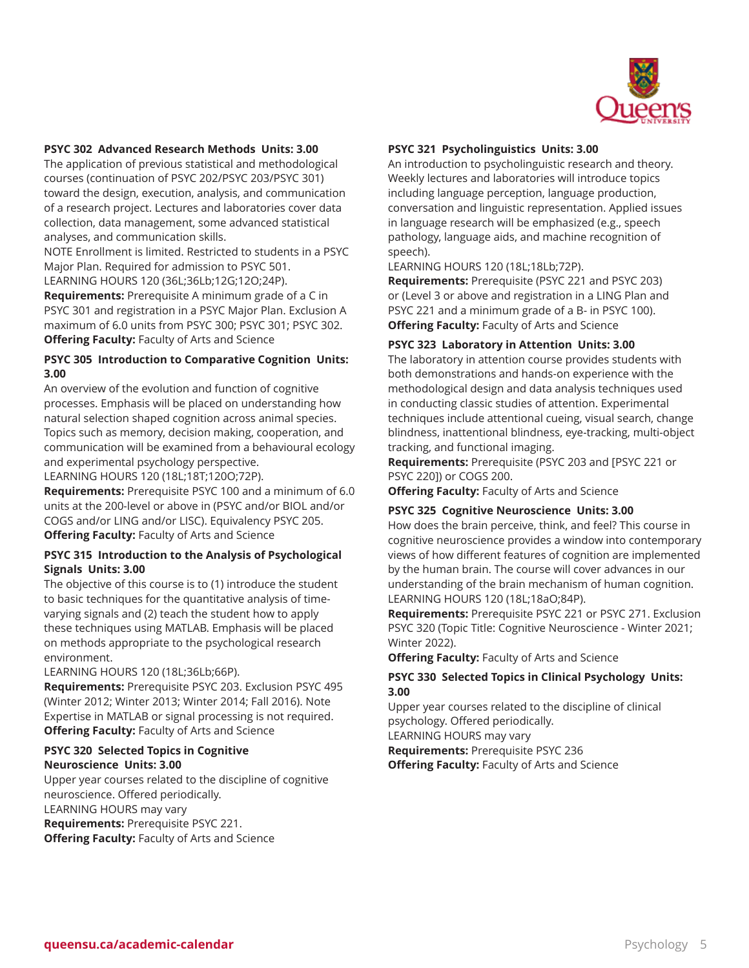

#### **PSYC 302 Advanced Research Methods Units: 3.00**

The application of previous statistical and methodological courses (continuation of PSYC 202/PSYC 203/PSYC 301) toward the design, execution, analysis, and communication of a research project. Lectures and laboratories cover data collection, data management, some advanced statistical analyses, and communication skills.

NOTE Enrollment is limited. Restricted to students in a PSYC Major Plan. Required for admission to PSYC 501.

LEARNING HOURS 120 (36L;36Lb;12G;12O;24P).

**Requirements:** Prerequisite A minimum grade of a C in PSYC 301 and registration in a PSYC Major Plan. Exclusion A maximum of 6.0 units from PSYC 300; PSYC 301; PSYC 302. **Offering Faculty:** Faculty of Arts and Science

#### **PSYC 305 Introduction to Comparative Cognition Units: 3.00**

An overview of the evolution and function of cognitive processes. Emphasis will be placed on understanding how natural selection shaped cognition across animal species. Topics such as memory, decision making, cooperation, and communication will be examined from a behavioural ecology and experimental psychology perspective.

LEARNING HOURS 120 (18L;18T;120O;72P).

**Requirements:** Prerequisite PSYC 100 and a minimum of 6.0 units at the 200-level or above in (PSYC and/or BIOL and/or COGS and/or LING and/or LISC). Equivalency PSYC 205. **Offering Faculty:** Faculty of Arts and Science

#### **PSYC 315 Introduction to the Analysis of Psychological Signals Units: 3.00**

The objective of this course is to (1) introduce the student to basic techniques for the quantitative analysis of timevarying signals and (2) teach the student how to apply these techniques using MATLAB. Emphasis will be placed on methods appropriate to the psychological research environment.

LEARNING HOURS 120 (18L;36Lb;66P).

**Requirements:** Prerequisite PSYC 203. Exclusion PSYC 495 (Winter 2012; Winter 2013; Winter 2014; Fall 2016). Note Expertise in MATLAB or signal processing is not required. **Offering Faculty:** Faculty of Arts and Science

#### **PSYC 320 Selected Topics in Cognitive Neuroscience Units: 3.00**

Upper year courses related to the discipline of cognitive neuroscience. Offered periodically. LEARNING HOURS may vary **Requirements:** Prerequisite PSYC 221. **Offering Faculty:** Faculty of Arts and Science

#### **PSYC 321 Psycholinguistics Units: 3.00**

An introduction to psycholinguistic research and theory. Weekly lectures and laboratories will introduce topics including language perception, language production, conversation and linguistic representation. Applied issues in language research will be emphasized (e.g., speech pathology, language aids, and machine recognition of speech).

LEARNING HOURS 120 (18L;18Lb;72P).

**Requirements:** Prerequisite (PSYC 221 and PSYC 203) or (Level 3 or above and registration in a LING Plan and PSYC 221 and a minimum grade of a B- in PSYC 100). **Offering Faculty:** Faculty of Arts and Science

#### **PSYC 323 Laboratory in Attention Units: 3.00**

The laboratory in attention course provides students with both demonstrations and hands-on experience with the methodological design and data analysis techniques used in conducting classic studies of attention. Experimental techniques include attentional cueing, visual search, change blindness, inattentional blindness, eye-tracking, multi-object tracking, and functional imaging.

**Requirements:** Prerequisite (PSYC 203 and [PSYC 221 or PSYC 220]) or COGS 200.

**Offering Faculty:** Faculty of Arts and Science

#### **PSYC 325 Cognitive Neuroscience Units: 3.00**

How does the brain perceive, think, and feel? This course in cognitive neuroscience provides a window into contemporary views of how different features of cognition are implemented by the human brain. The course will cover advances in our understanding of the brain mechanism of human cognition. LEARNING HOURS 120 (18L;18aO;84P).

**Requirements:** Prerequisite PSYC 221 or PSYC 271. Exclusion PSYC 320 (Topic Title: Cognitive Neuroscience - Winter 2021; Winter 2022).

**Offering Faculty:** Faculty of Arts and Science

#### **PSYC 330 Selected Topics in Clinical Psychology Units: 3.00**

Upper year courses related to the discipline of clinical psychology. Offered periodically.

LEARNING HOURS may vary

**Requirements:** Prerequisite PSYC 236 **Offering Faculty:** Faculty of Arts and Science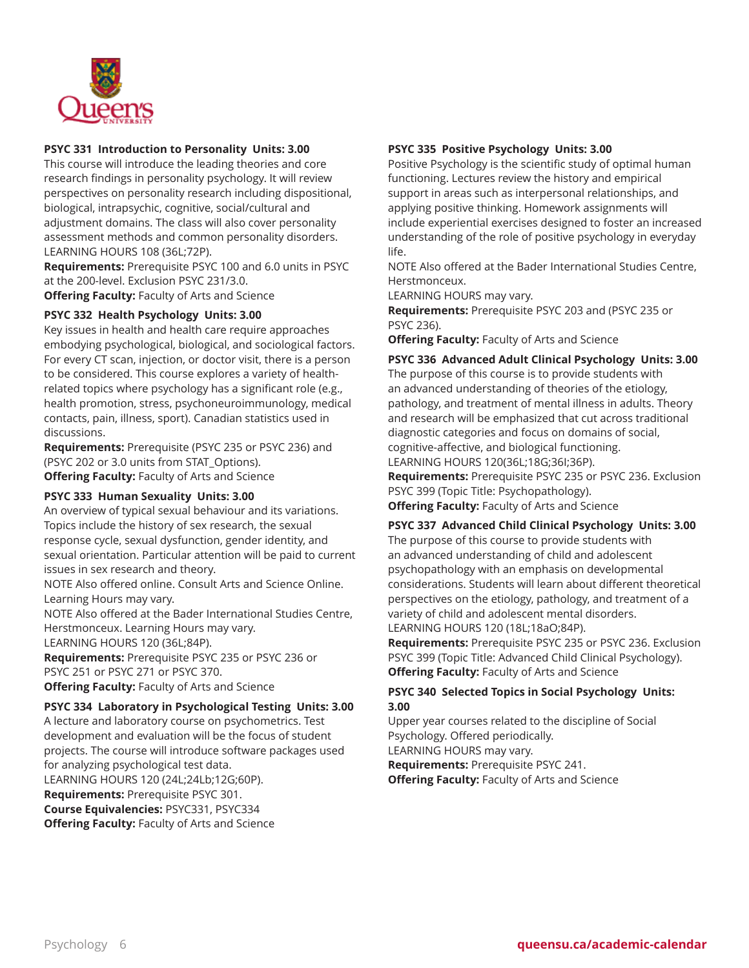

#### **PSYC 331 Introduction to Personality Units: 3.00**

This course will introduce the leading theories and core research findings in personality psychology. It will review perspectives on personality research including dispositional, biological, intrapsychic, cognitive, social/cultural and adjustment domains. The class will also cover personality assessment methods and common personality disorders. LEARNING HOURS 108 (36L;72P).

**Requirements:** Prerequisite PSYC 100 and 6.0 units in PSYC at the 200-level. Exclusion PSYC 231/3.0.

**Offering Faculty:** Faculty of Arts and Science

#### **PSYC 332 Health Psychology Units: 3.00**

Key issues in health and health care require approaches embodying psychological, biological, and sociological factors. For every CT scan, injection, or doctor visit, there is a person to be considered. This course explores a variety of healthrelated topics where psychology has a significant role (e.g., health promotion, stress, psychoneuroimmunology, medical contacts, pain, illness, sport). Canadian statistics used in discussions.

**Requirements:** Prerequisite (PSYC 235 or PSYC 236) and (PSYC 202 or 3.0 units from STAT\_Options). **Offering Faculty:** Faculty of Arts and Science

#### **PSYC 333 Human Sexuality Units: 3.00**

An overview of typical sexual behaviour and its variations. Topics include the history of sex research, the sexual response cycle, sexual dysfunction, gender identity, and sexual orientation. Particular attention will be paid to current issues in sex research and theory.

NOTE Also offered online. Consult Arts and Science Online. Learning Hours may vary.

NOTE Also offered at the Bader International Studies Centre, Herstmonceux. Learning Hours may vary.

LEARNING HOURS 120 (36L;84P).

**Requirements:** Prerequisite PSYC 235 or PSYC 236 or PSYC 251 or PSYC 271 or PSYC 370.

**Offering Faculty:** Faculty of Arts and Science

#### **PSYC 334 Laboratory in Psychological Testing Units: 3.00**

A lecture and laboratory course on psychometrics. Test development and evaluation will be the focus of student projects. The course will introduce software packages used for analyzing psychological test data. LEARNING HOURS 120 (24L;24Lb;12G;60P). **Requirements:** Prerequisite PSYC 301. **Course Equivalencies:** PSYC331, PSYC334 **Offering Faculty:** Faculty of Arts and Science

#### **PSYC 335 Positive Psychology Units: 3.00**

Positive Psychology is the scientific study of optimal human functioning. Lectures review the history and empirical support in areas such as interpersonal relationships, and applying positive thinking. Homework assignments will include experiential exercises designed to foster an increased understanding of the role of positive psychology in everyday life.

NOTE Also offered at the Bader International Studies Centre, Herstmonceux.

LEARNING HOURS may vary.

**Requirements:** Prerequisite PSYC 203 and (PSYC 235 or PSYC 236).

**Offering Faculty:** Faculty of Arts and Science

**PSYC 336 Advanced Adult Clinical Psychology Units: 3.00** The purpose of this course is to provide students with an advanced understanding of theories of the etiology, pathology, and treatment of mental illness in adults. Theory and research will be emphasized that cut across traditional diagnostic categories and focus on domains of social, cognitive-affective, and biological functioning. LEARNING HOURS 120(36L;18G;36I;36P).

**Requirements:** Prerequisite PSYC 235 or PSYC 236. Exclusion PSYC 399 (Topic Title: Psychopathology).

**Offering Faculty:** Faculty of Arts and Science

#### **PSYC 337 Advanced Child Clinical Psychology Units: 3.00**

The purpose of this course to provide students with an advanced understanding of child and adolescent psychopathology with an emphasis on developmental considerations. Students will learn about different theoretical perspectives on the etiology, pathology, and treatment of a variety of child and adolescent mental disorders. LEARNING HOURS 120 (18L;18aO;84P).

**Requirements:** Prerequisite PSYC 235 or PSYC 236. Exclusion PSYC 399 (Topic Title: Advanced Child Clinical Psychology). **Offering Faculty:** Faculty of Arts and Science

#### **PSYC 340 Selected Topics in Social Psychology Units: 3.00**

Upper year courses related to the discipline of Social Psychology. Offered periodically. LEARNING HOURS may vary.

**Requirements:** Prerequisite PSYC 241. **Offering Faculty:** Faculty of Arts and Science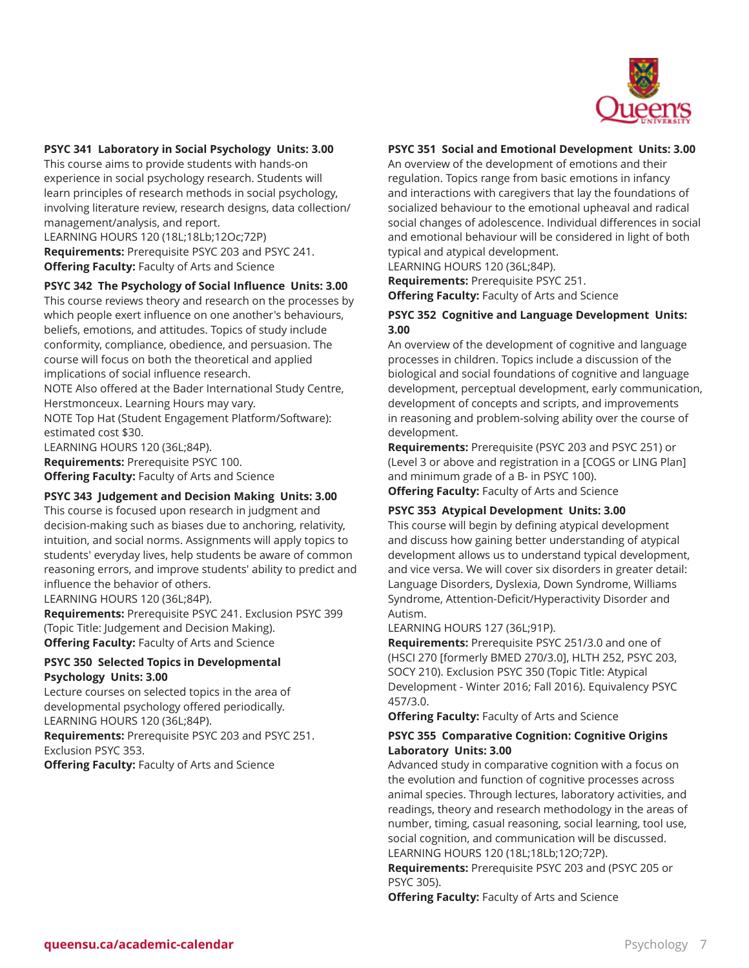

#### **PSYC 341 Laboratory in Social Psychology Units: 3.00**

This course aims to provide students with hands-on experience in social psychology research. Students will learn principles of research methods in social psychology, involving literature review, research designs, data collection/ management/analysis, and report.

LEARNING HOURS 120 (18L;18Lb;12Oc;72P) **Requirements:** Prerequisite PSYC 203 and PSYC 241. **Offering Faculty:** Faculty of Arts and Science

#### **PSYC 342 The Psychology of Social Influence Units: 3.00**

This course reviews theory and research on the processes by which people exert influence on one another's behaviours, beliefs, emotions, and attitudes. Topics of study include conformity, compliance, obedience, and persuasion. The course will focus on both the theoretical and applied implications of social influence research.

NOTE Also offered at the Bader International Study Centre, Herstmonceux. Learning Hours may vary.

NOTE Top Hat (Student Engagement Platform/Software): estimated cost \$30.

LEARNING HOURS 120 (36L;84P).

**Requirements:** Prerequisite PSYC 100. **Offering Faculty:** Faculty of Arts and Science

#### **PSYC 343 Judgement and Decision Making Units: 3.00**

This course is focused upon research in judgment and decision-making such as biases due to anchoring, relativity, intuition, and social norms. Assignments will apply topics to students' everyday lives, help students be aware of common reasoning errors, and improve students' ability to predict and influence the behavior of others.

LEARNING HOURS 120 (36L;84P).

**Requirements:** Prerequisite PSYC 241. Exclusion PSYC 399 (Topic Title: Judgement and Decision Making). **Offering Faculty:** Faculty of Arts and Science

#### **PSYC 350 Selected Topics in Developmental Psychology Units: 3.00**

Lecture courses on selected topics in the area of developmental psychology offered periodically. LEARNING HOURS 120 (36L;84P).

**Requirements:** Prerequisite PSYC 203 and PSYC 251. Exclusion PSYC 353.

**Offering Faculty:** Faculty of Arts and Science

#### **PSYC 351 Social and Emotional Development Units: 3.00**

An overview of the development of emotions and their regulation. Topics range from basic emotions in infancy and interactions with caregivers that lay the foundations of socialized behaviour to the emotional upheaval and radical social changes of adolescence. Individual differences in social and emotional behaviour will be considered in light of both typical and atypical development.

LEARNING HOURS 120 (36L;84P). **Requirements:** Prerequisite PSYC 251. **Offering Faculty:** Faculty of Arts and Science

#### **PSYC 352 Cognitive and Language Development Units: 3.00**

An overview of the development of cognitive and language processes in children. Topics include a discussion of the biological and social foundations of cognitive and language development, perceptual development, early communication, development of concepts and scripts, and improvements in reasoning and problem-solving ability over the course of development.

**Requirements:** Prerequisite (PSYC 203 and PSYC 251) or (Level 3 or above and registration in a [COGS or LING Plan] and minimum grade of a B- in PSYC 100).

**Offering Faculty:** Faculty of Arts and Science

#### **PSYC 353 Atypical Development Units: 3.00**

This course will begin by defining atypical development and discuss how gaining better understanding of atypical development allows us to understand typical development, and vice versa. We will cover six disorders in greater detail: Language Disorders, Dyslexia, Down Syndrome, Williams Syndrome, Attention-Deficit/Hyperactivity Disorder and Autism.

LEARNING HOURS 127 (36L;91P).

**Requirements:** Prerequisite PSYC 251/3.0 and one of (HSCI 270 [formerly BMED 270/3.0], HLTH 252, PSYC 203, SOCY 210). Exclusion PSYC 350 (Topic Title: Atypical Development - Winter 2016; Fall 2016). Equivalency PSYC 457/3.0.

**Offering Faculty:** Faculty of Arts and Science

#### **PSYC 355 Comparative Cognition: Cognitive Origins Laboratory Units: 3.00**

Advanced study in comparative cognition with a focus on the evolution and function of cognitive processes across animal species. Through lectures, laboratory activities, and readings, theory and research methodology in the areas of number, timing, casual reasoning, social learning, tool use, social cognition, and communication will be discussed. LEARNING HOURS 120 (18L;18Lb;12O;72P).

**Requirements:** Prerequisite PSYC 203 and (PSYC 205 or PSYC 305).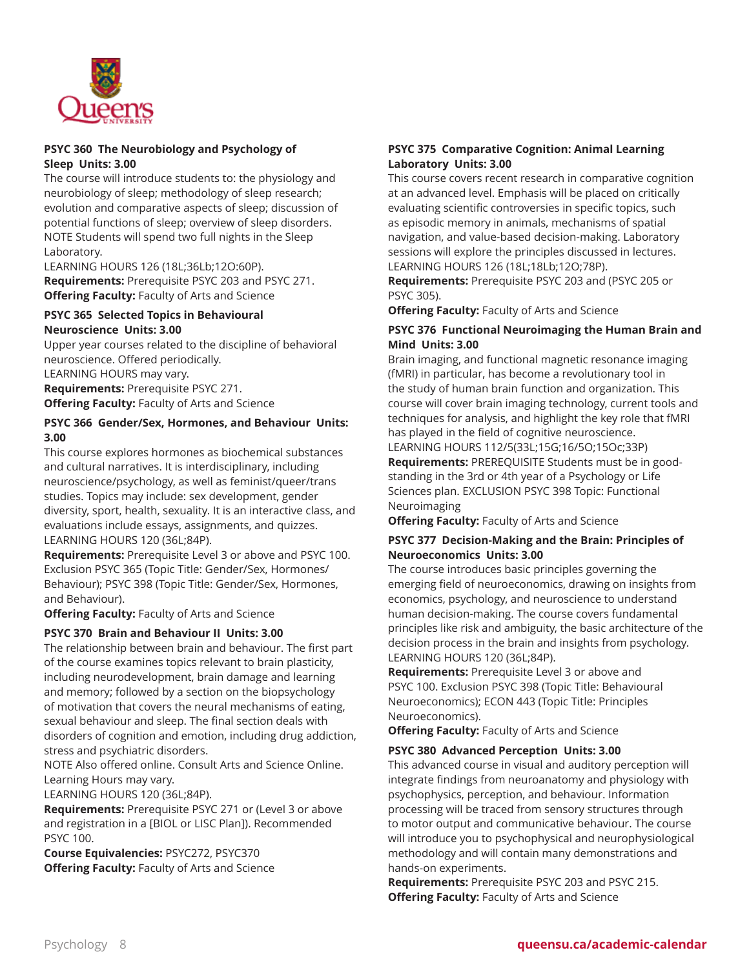

#### **PSYC 360 The Neurobiology and Psychology of Sleep Units: 3.00**

The course will introduce students to: the physiology and neurobiology of sleep; methodology of sleep research; evolution and comparative aspects of sleep; discussion of potential functions of sleep; overview of sleep disorders. NOTE Students will spend two full nights in the Sleep Laboratory.

LEARNING HOURS 126 (18L;36Lb;12O:60P). **Requirements:** Prerequisite PSYC 203 and PSYC 271. **Offering Faculty:** Faculty of Arts and Science

#### **PSYC 365 Selected Topics in Behavioural Neuroscience Units: 3.00**

Upper year courses related to the discipline of behavioral neuroscience. Offered periodically. LEARNING HOURS may vary. **Requirements:** Prerequisite PSYC 271. **Offering Faculty:** Faculty of Arts and Science

#### **PSYC 366 Gender/Sex, Hormones, and Behaviour Units: 3.00**

This course explores hormones as biochemical substances and cultural narratives. It is interdisciplinary, including neuroscience/psychology, as well as feminist/queer/trans studies. Topics may include: sex development, gender diversity, sport, health, sexuality. It is an interactive class, and evaluations include essays, assignments, and quizzes. LEARNING HOURS 120 (36L;84P).

**Requirements:** Prerequisite Level 3 or above and PSYC 100. Exclusion PSYC 365 (Topic Title: Gender/Sex, Hormones/ Behaviour); PSYC 398 (Topic Title: Gender/Sex, Hormones, and Behaviour).

**Offering Faculty:** Faculty of Arts and Science

#### **PSYC 370 Brain and Behaviour II Units: 3.00**

The relationship between brain and behaviour. The first part of the course examines topics relevant to brain plasticity, including neurodevelopment, brain damage and learning and memory; followed by a section on the biopsychology of motivation that covers the neural mechanisms of eating, sexual behaviour and sleep. The final section deals with disorders of cognition and emotion, including drug addiction, stress and psychiatric disorders.

NOTE Also offered online. Consult Arts and Science Online. Learning Hours may vary.

LEARNING HOURS 120 (36L;84P).

**Requirements:** Prerequisite PSYC 271 or (Level 3 or above and registration in a [BIOL or LISC Plan]). Recommended PSYC 100.

**Course Equivalencies:** PSYC272, PSYC370 **Offering Faculty:** Faculty of Arts and Science

#### **PSYC 375 Comparative Cognition: Animal Learning Laboratory Units: 3.00**

This course covers recent research in comparative cognition at an advanced level. Emphasis will be placed on critically evaluating scientific controversies in specific topics, such as episodic memory in animals, mechanisms of spatial navigation, and value-based decision-making. Laboratory sessions will explore the principles discussed in lectures. LEARNING HOURS 126 (18L;18Lb;12O;78P).

**Requirements:** Prerequisite PSYC 203 and (PSYC 205 or PSYC 305).

**Offering Faculty:** Faculty of Arts and Science

#### **PSYC 376 Functional Neuroimaging the Human Brain and Mind Units: 3.00**

Brain imaging, and functional magnetic resonance imaging (fMRI) in particular, has become a revolutionary tool in the study of human brain function and organization. This course will cover brain imaging technology, current tools and techniques for analysis, and highlight the key role that fMRI has played in the field of cognitive neuroscience. LEARNING HOURS 112/5(33L;15G;16/5O;15Oc;33P) **Requirements:** PREREQUISITE Students must be in goodstanding in the 3rd or 4th year of a Psychology or Life Sciences plan. EXCLUSION PSYC 398 Topic: Functional Neuroimaging

**Offering Faculty:** Faculty of Arts and Science

#### **PSYC 377 Decision-Making and the Brain: Principles of Neuroeconomics Units: 3.00**

The course introduces basic principles governing the emerging field of neuroeconomics, drawing on insights from economics, psychology, and neuroscience to understand human decision-making. The course covers fundamental principles like risk and ambiguity, the basic architecture of the decision process in the brain and insights from psychology. LEARNING HOURS 120 (36L;84P).

**Requirements:** Prerequisite Level 3 or above and PSYC 100. Exclusion PSYC 398 (Topic Title: Behavioural Neuroeconomics); ECON 443 (Topic Title: Principles Neuroeconomics).

**Offering Faculty:** Faculty of Arts and Science

#### **PSYC 380 Advanced Perception Units: 3.00**

This advanced course in visual and auditory perception will integrate findings from neuroanatomy and physiology with psychophysics, perception, and behaviour. Information processing will be traced from sensory structures through to motor output and communicative behaviour. The course will introduce you to psychophysical and neurophysiological methodology and will contain many demonstrations and hands-on experiments.

**Requirements:** Prerequisite PSYC 203 and PSYC 215. **Offering Faculty:** Faculty of Arts and Science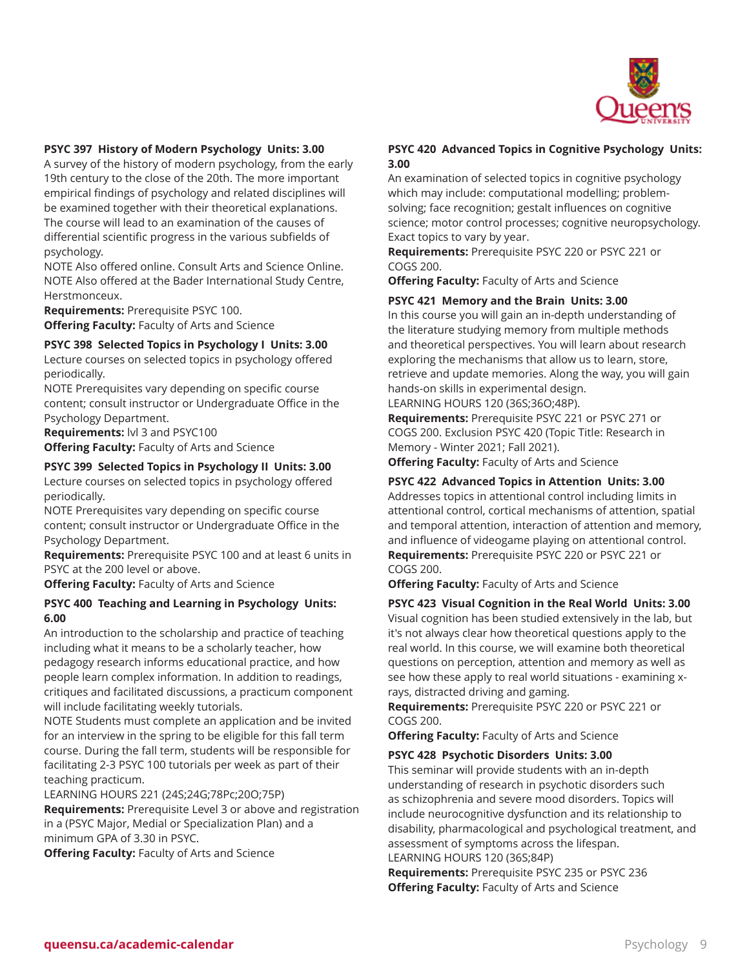

#### **PSYC 397 History of Modern Psychology Units: 3.00**

A survey of the history of modern psychology, from the early 19th century to the close of the 20th. The more important empirical findings of psychology and related disciplines will be examined together with their theoretical explanations. The course will lead to an examination of the causes of differential scientific progress in the various subfields of psychology.

NOTE Also offered online. Consult Arts and Science Online. NOTE Also offered at the Bader International Study Centre, Herstmonceux.

**Requirements:** Prerequisite PSYC 100. **Offering Faculty:** Faculty of Arts and Science

**PSYC 398 Selected Topics in Psychology I Units: 3.00** Lecture courses on selected topics in psychology offered periodically.

NOTE Prerequisites vary depending on specific course content; consult instructor or Undergraduate Office in the Psychology Department.

**Requirements:** lvl 3 and PSYC100

**Offering Faculty:** Faculty of Arts and Science

#### **PSYC 399 Selected Topics in Psychology II Units: 3.00**

Lecture courses on selected topics in psychology offered periodically.

NOTE Prerequisites vary depending on specific course content; consult instructor or Undergraduate Office in the Psychology Department.

**Requirements:** Prerequisite PSYC 100 and at least 6 units in PSYC at the 200 level or above.

**Offering Faculty:** Faculty of Arts and Science

#### **PSYC 400 Teaching and Learning in Psychology Units: 6.00**

An introduction to the scholarship and practice of teaching including what it means to be a scholarly teacher, how pedagogy research informs educational practice, and how people learn complex information. In addition to readings, critiques and facilitated discussions, a practicum component will include facilitating weekly tutorials.

NOTE Students must complete an application and be invited for an interview in the spring to be eligible for this fall term course. During the fall term, students will be responsible for facilitating 2-3 PSYC 100 tutorials per week as part of their teaching practicum.

LEARNING HOURS 221 (24S;24G;78Pc;20O;75P)

**Requirements:** Prerequisite Level 3 or above and registration in a (PSYC Major, Medial or Specialization Plan) and a minimum GPA of 3.30 in PSYC.

**Offering Faculty:** Faculty of Arts and Science

#### **PSYC 420 Advanced Topics in Cognitive Psychology Units: 3.00**

An examination of selected topics in cognitive psychology which may include: computational modelling; problemsolving; face recognition; gestalt influences on cognitive science; motor control processes; cognitive neuropsychology. Exact topics to vary by year.

**Requirements:** Prerequisite PSYC 220 or PSYC 221 or COGS 200.

**Offering Faculty:** Faculty of Arts and Science

#### **PSYC 421 Memory and the Brain Units: 3.00**

In this course you will gain an in-depth understanding of the literature studying memory from multiple methods and theoretical perspectives. You will learn about research exploring the mechanisms that allow us to learn, store, retrieve and update memories. Along the way, you will gain hands-on skills in experimental design.

#### LEARNING HOURS 120 (36S;36O;48P).

**Requirements:** Prerequisite PSYC 221 or PSYC 271 or COGS 200. Exclusion PSYC 420 (Topic Title: Research in Memory - Winter 2021; Fall 2021).

**Offering Faculty:** Faculty of Arts and Science

#### **PSYC 422 Advanced Topics in Attention Units: 3.00**

Addresses topics in attentional control including limits in attentional control, cortical mechanisms of attention, spatial and temporal attention, interaction of attention and memory, and influence of videogame playing on attentional control. **Requirements:** Prerequisite PSYC 220 or PSYC 221 or COGS 200.

**Offering Faculty:** Faculty of Arts and Science

**PSYC 423 Visual Cognition in the Real World Units: 3.00** Visual cognition has been studied extensively in the lab, but it's not always clear how theoretical questions apply to the real world. In this course, we will examine both theoretical questions on perception, attention and memory as well as see how these apply to real world situations - examining xrays, distracted driving and gaming.

**Requirements:** Prerequisite PSYC 220 or PSYC 221 or COGS 200.

**Offering Faculty:** Faculty of Arts and Science

#### **PSYC 428 Psychotic Disorders Units: 3.00**

This seminar will provide students with an in-depth understanding of research in psychotic disorders such as schizophrenia and severe mood disorders. Topics will include neurocognitive dysfunction and its relationship to disability, pharmacological and psychological treatment, and assessment of symptoms across the lifespan.

LEARNING HOURS 120 (36S;84P)

**Requirements:** Prerequisite PSYC 235 or PSYC 236 **Offering Faculty:** Faculty of Arts and Science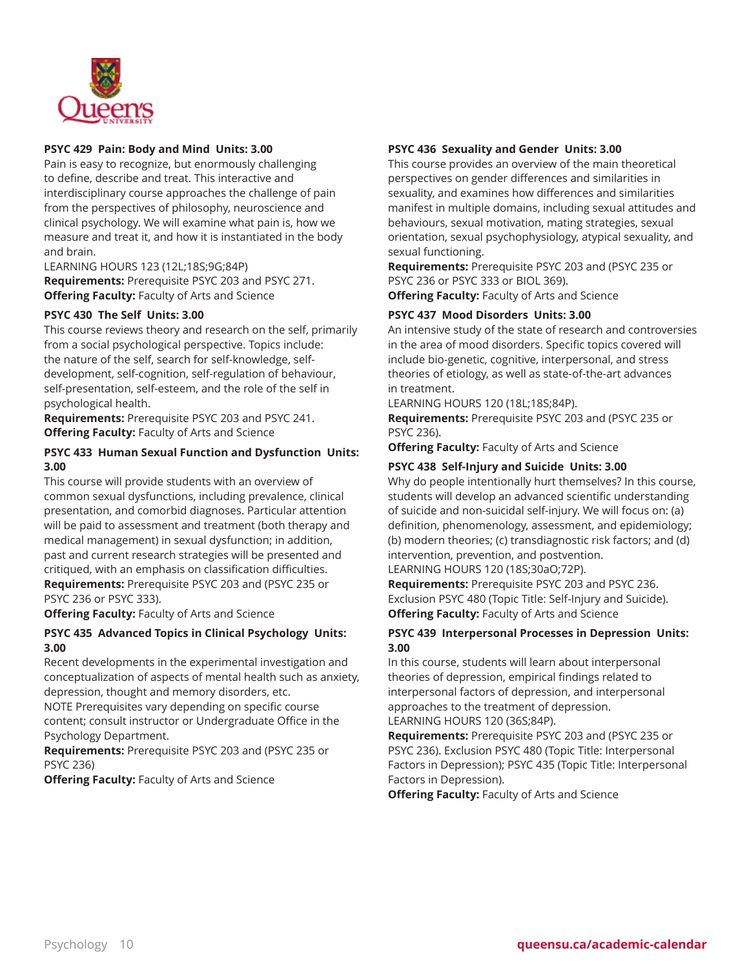

#### **PSYC 429 Pain: Body and Mind Units: 3.00**

Pain is easy to recognize, but enormously challenging to define, describe and treat. This interactive and interdisciplinary course approaches the challenge of pain from the perspectives of philosophy, neuroscience and clinical psychology. We will examine what pain is, how we measure and treat it, and how it is instantiated in the body and brain.

LEARNING HOURS 123 (12L;18S;9G;84P) **Requirements:** Prerequisite PSYC 203 and PSYC 271. **Offering Faculty:** Faculty of Arts and Science

#### **PSYC 430 The Self Units: 3.00**

This course reviews theory and research on the self, primarily from a social psychological perspective. Topics include: the nature of the self, search for self-knowledge, selfdevelopment, self-cognition, self-regulation of behaviour, self-presentation, self-esteem, and the role of the self in psychological health.

**Requirements:** Prerequisite PSYC 203 and PSYC 241. **Offering Faculty:** Faculty of Arts and Science

#### **PSYC 433 Human Sexual Function and Dysfunction Units: 3.00**

This course will provide students with an overview of common sexual dysfunctions, including prevalence, clinical presentation, and comorbid diagnoses. Particular attention will be paid to assessment and treatment (both therapy and medical management) in sexual dysfunction; in addition, past and current research strategies will be presented and critiqued, with an emphasis on classification difficulties. **Requirements:** Prerequisite PSYC 203 and (PSYC 235 or PSYC 236 or PSYC 333).

**Offering Faculty:** Faculty of Arts and Science

#### **PSYC 435 Advanced Topics in Clinical Psychology Units: 3.00**

Recent developments in the experimental investigation and conceptualization of aspects of mental health such as anxiety, depression, thought and memory disorders, etc.

NOTE Prerequisites vary depending on specific course content; consult instructor or Undergraduate Office in the Psychology Department.

**Requirements:** Prerequisite PSYC 203 and (PSYC 235 or PSYC 236)

**Offering Faculty:** Faculty of Arts and Science

#### **PSYC 436 Sexuality and Gender Units: 3.00**

This course provides an overview of the main theoretical perspectives on gender differences and similarities in sexuality, and examines how differences and similarities manifest in multiple domains, including sexual attitudes and behaviours, sexual motivation, mating strategies, sexual orientation, sexual psychophysiology, atypical sexuality, and sexual functioning.

**Requirements:** Prerequisite PSYC 203 and (PSYC 235 or PSYC 236 or PSYC 333 or BIOL 369).

**Offering Faculty:** Faculty of Arts and Science

#### **PSYC 437 Mood Disorders Units: 3.00**

An intensive study of the state of research and controversies in the area of mood disorders. Specific topics covered will include bio-genetic, cognitive, interpersonal, and stress theories of etiology, as well as state-of-the-art advances in treatment.

LEARNING HOURS 120 (18L;18S;84P).

**Requirements:** Prerequisite PSYC 203 and (PSYC 235 or PSYC 236).

**Offering Faculty:** Faculty of Arts and Science

#### **PSYC 438 Self-Injury and Suicide Units: 3.00**

Why do people intentionally hurt themselves? In this course, students will develop an advanced scientific understanding of suicide and non-suicidal self-injury. We will focus on: (a) definition, phenomenology, assessment, and epidemiology; (b) modern theories; (c) transdiagnostic risk factors; and (d) intervention, prevention, and postvention.

LEARNING HOURS 120 (18S;30aO;72P).

**Requirements:** Prerequisite PSYC 203 and PSYC 236. Exclusion PSYC 480 (Topic Title: Self-Injury and Suicide). **Offering Faculty:** Faculty of Arts and Science

#### **PSYC 439 Interpersonal Processes in Depression Units: 3.00**

In this course, students will learn about interpersonal theories of depression, empirical findings related to interpersonal factors of depression, and interpersonal approaches to the treatment of depression. LEARNING HOURS 120 (36S;84P).

**Requirements:** Prerequisite PSYC 203 and (PSYC 235 or PSYC 236). Exclusion PSYC 480 (Topic Title: Interpersonal Factors in Depression); PSYC 435 (Topic Title: Interpersonal Factors in Depression).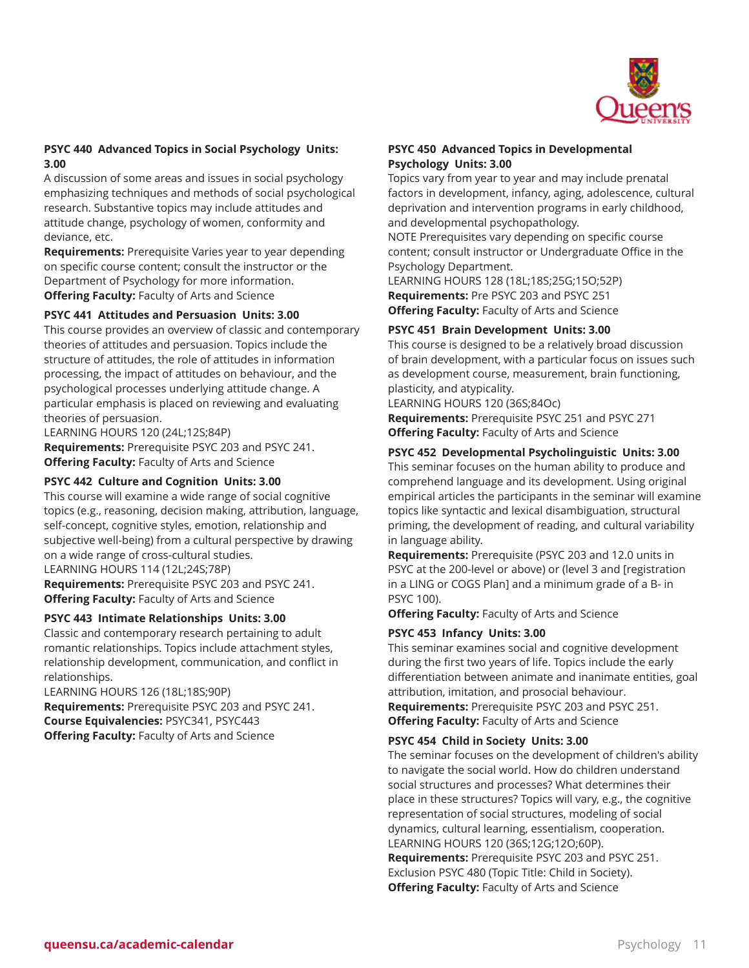

#### **PSYC 440 Advanced Topics in Social Psychology Units: 3.00**

A discussion of some areas and issues in social psychology emphasizing techniques and methods of social psychological research. Substantive topics may include attitudes and attitude change, psychology of women, conformity and deviance, etc.

**Requirements:** Prerequisite Varies year to year depending on specific course content; consult the instructor or the Department of Psychology for more information. **Offering Faculty:** Faculty of Arts and Science

#### **PSYC 441 Attitudes and Persuasion Units: 3.00**

This course provides an overview of classic and contemporary theories of attitudes and persuasion. Topics include the structure of attitudes, the role of attitudes in information processing, the impact of attitudes on behaviour, and the psychological processes underlying attitude change. A particular emphasis is placed on reviewing and evaluating theories of persuasion.

LEARNING HOURS 120 (24L;12S;84P) **Requirements:** Prerequisite PSYC 203 and PSYC 241. **Offering Faculty:** Faculty of Arts and Science

#### **PSYC 442 Culture and Cognition Units: 3.00**

This course will examine a wide range of social cognitive topics (e.g., reasoning, decision making, attribution, language, self-concept, cognitive styles, emotion, relationship and subjective well-being) from a cultural perspective by drawing on a wide range of cross-cultural studies. LEARNING HOURS 114 (12L;24S;78P)

**Requirements:** Prerequisite PSYC 203 and PSYC 241. **Offering Faculty:** Faculty of Arts and Science

#### **PSYC 443 Intimate Relationships Units: 3.00**

Classic and contemporary research pertaining to adult romantic relationships. Topics include attachment styles, relationship development, communication, and conflict in relationships.

LEARNING HOURS 126 (18L;18S;90P) **Requirements:** Prerequisite PSYC 203 and PSYC 241. **Course Equivalencies:** PSYC341, PSYC443 **Offering Faculty:** Faculty of Arts and Science

#### **PSYC 450 Advanced Topics in Developmental Psychology Units: 3.00**

Topics vary from year to year and may include prenatal factors in development, infancy, aging, adolescence, cultural deprivation and intervention programs in early childhood, and developmental psychopathology.

NOTE Prerequisites vary depending on specific course content; consult instructor or Undergraduate Office in the Psychology Department.

LEARNING HOURS 128 (18L;18S;25G;15O;52P) **Requirements:** Pre PSYC 203 and PSYC 251 **Offering Faculty:** Faculty of Arts and Science

#### **PSYC 451 Brain Development Units: 3.00**

This course is designed to be a relatively broad discussion of brain development, with a particular focus on issues such as development course, measurement, brain functioning, plasticity, and atypicality.

LEARNING HOURS 120 (36S;84Oc) **Requirements:** Prerequisite PSYC 251 and PSYC 271 **Offering Faculty:** Faculty of Arts and Science

#### **PSYC 452 Developmental Psycholinguistic Units: 3.00**

This seminar focuses on the human ability to produce and comprehend language and its development. Using original empirical articles the participants in the seminar will examine topics like syntactic and lexical disambiguation, structural priming, the development of reading, and cultural variability in language ability.

**Requirements:** Prerequisite (PSYC 203 and 12.0 units in PSYC at the 200-level or above) or (level 3 and [registration in a LING or COGS Plan] and a minimum grade of a B- in PSYC 100).

**Offering Faculty:** Faculty of Arts and Science

#### **PSYC 453 Infancy Units: 3.00**

This seminar examines social and cognitive development during the first two years of life. Topics include the early differentiation between animate and inanimate entities, goal attribution, imitation, and prosocial behaviour. **Requirements:** Prerequisite PSYC 203 and PSYC 251. **Offering Faculty:** Faculty of Arts and Science

#### **PSYC 454 Child in Society Units: 3.00**

The seminar focuses on the development of children's ability to navigate the social world. How do children understand social structures and processes? What determines their place in these structures? Topics will vary, e.g., the cognitive representation of social structures, modeling of social dynamics, cultural learning, essentialism, cooperation. LEARNING HOURS 120 (36S;12G;12O;60P). **Requirements:** Prerequisite PSYC 203 and PSYC 251. Exclusion PSYC 480 (Topic Title: Child in Society). **Offering Faculty:** Faculty of Arts and Science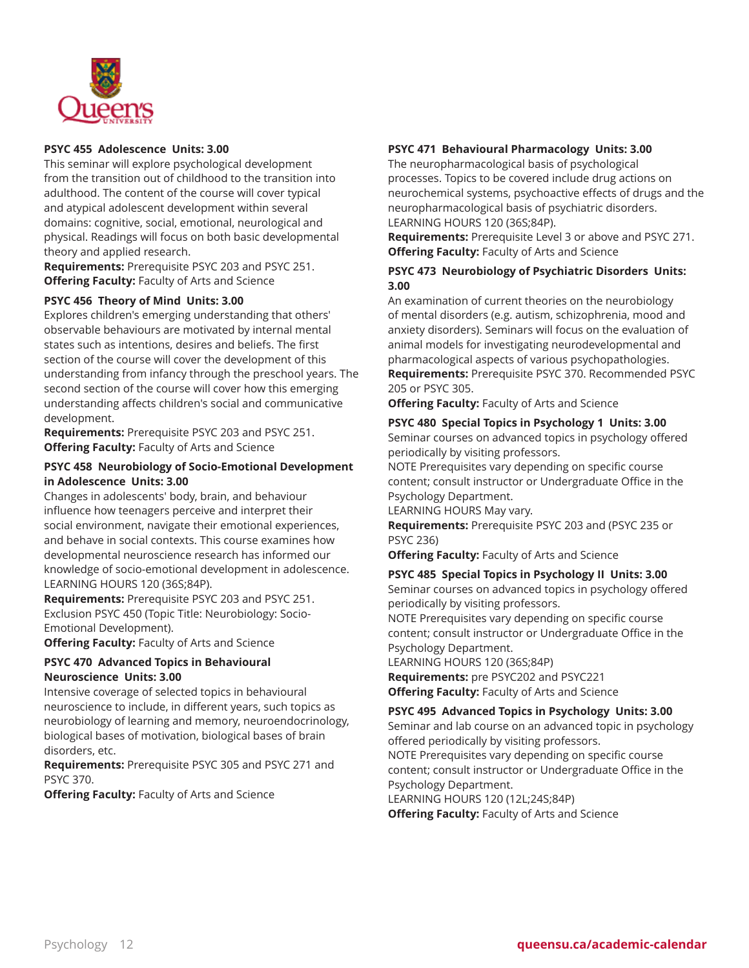

#### **PSYC 455 Adolescence Units: 3.00**

This seminar will explore psychological development from the transition out of childhood to the transition into adulthood. The content of the course will cover typical and atypical adolescent development within several domains: cognitive, social, emotional, neurological and physical. Readings will focus on both basic developmental theory and applied research.

**Requirements:** Prerequisite PSYC 203 and PSYC 251. **Offering Faculty:** Faculty of Arts and Science

#### **PSYC 456 Theory of Mind Units: 3.00**

Explores children's emerging understanding that others' observable behaviours are motivated by internal mental states such as intentions, desires and beliefs. The first section of the course will cover the development of this understanding from infancy through the preschool years. The second section of the course will cover how this emerging understanding affects children's social and communicative development.

**Requirements:** Prerequisite PSYC 203 and PSYC 251. **Offering Faculty:** Faculty of Arts and Science

#### **PSYC 458 Neurobiology of Socio-Emotional Development in Adolescence Units: 3.00**

Changes in adolescents' body, brain, and behaviour influence how teenagers perceive and interpret their social environment, navigate their emotional experiences, and behave in social contexts. This course examines how developmental neuroscience research has informed our knowledge of socio-emotional development in adolescence. LEARNING HOURS 120 (36S;84P).

**Requirements:** Prerequisite PSYC 203 and PSYC 251. Exclusion PSYC 450 (Topic Title: Neurobiology: Socio-Emotional Development).

**Offering Faculty:** Faculty of Arts and Science

#### **PSYC 470 Advanced Topics in Behavioural Neuroscience Units: 3.00**

Intensive coverage of selected topics in behavioural neuroscience to include, in different years, such topics as neurobiology of learning and memory, neuroendocrinology, biological bases of motivation, biological bases of brain disorders, etc.

**Requirements:** Prerequisite PSYC 305 and PSYC 271 and PSYC 370.

**Offering Faculty:** Faculty of Arts and Science

#### **PSYC 471 Behavioural Pharmacology Units: 3.00**

The neuropharmacological basis of psychological processes. Topics to be covered include drug actions on neurochemical systems, psychoactive effects of drugs and the neuropharmacological basis of psychiatric disorders. LEARNING HOURS 120 (36S;84P).

**Requirements:** Prerequisite Level 3 or above and PSYC 271. **Offering Faculty:** Faculty of Arts and Science

#### **PSYC 473 Neurobiology of Psychiatric Disorders Units: 3.00**

An examination of current theories on the neurobiology of mental disorders (e.g. autism, schizophrenia, mood and anxiety disorders). Seminars will focus on the evaluation of animal models for investigating neurodevelopmental and pharmacological aspects of various psychopathologies. **Requirements:** Prerequisite PSYC 370. Recommended PSYC 205 or PSYC 305.

**Offering Faculty:** Faculty of Arts and Science

#### **PSYC 480 Special Topics in Psychology 1 Units: 3.00**

Seminar courses on advanced topics in psychology offered periodically by visiting professors.

NOTE Prerequisites vary depending on specific course content; consult instructor or Undergraduate Office in the Psychology Department.

LEARNING HOURS May vary.

**Requirements:** Prerequisite PSYC 203 and (PSYC 235 or PSYC 236)

**Offering Faculty:** Faculty of Arts and Science

#### **PSYC 485 Special Topics in Psychology II Units: 3.00**

Seminar courses on advanced topics in psychology offered periodically by visiting professors.

NOTE Prerequisites vary depending on specific course content; consult instructor or Undergraduate Office in the Psychology Department.

LEARNING HOURS 120 (36S;84P)

**Requirements:** pre PSYC202 and PSYC221 **Offering Faculty:** Faculty of Arts and Science

### **PSYC 495 Advanced Topics in Psychology Units: 3.00**

Seminar and lab course on an advanced topic in psychology offered periodically by visiting professors. NOTE Prerequisites vary depending on specific course content; consult instructor or Undergraduate Office in the Psychology Department. LEARNING HOURS 120 (12L;24S;84P)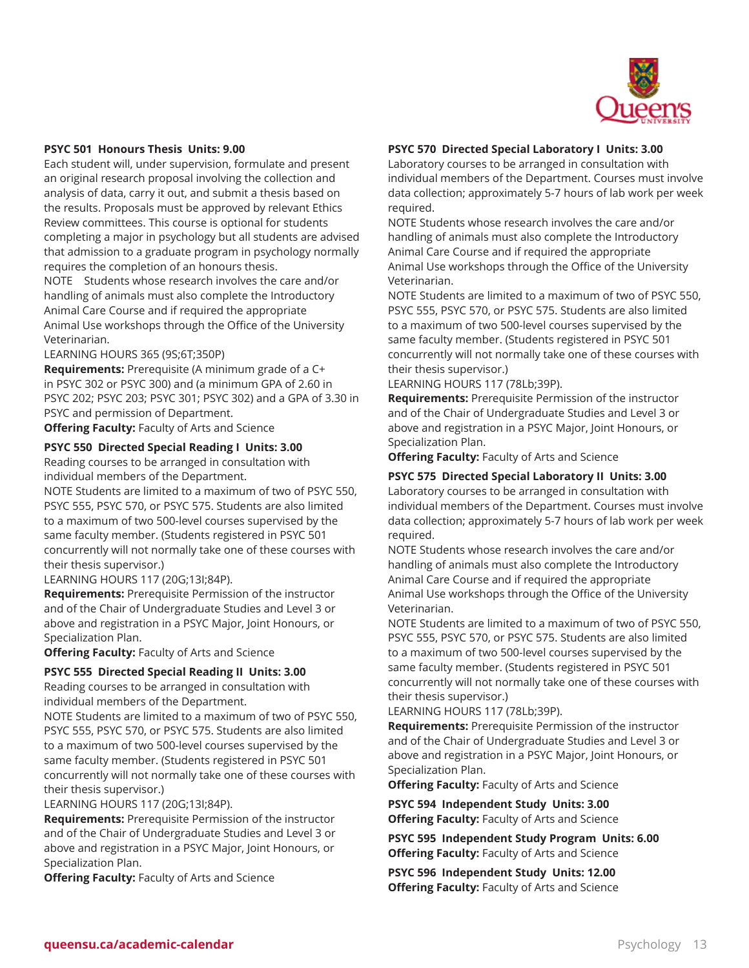

#### **PSYC 501 Honours Thesis Units: 9.00**

Each student will, under supervision, formulate and present an original research proposal involving the collection and analysis of data, carry it out, and submit a thesis based on the results. Proposals must be approved by relevant Ethics Review committees. This course is optional for students completing a major in psychology but all students are advised that admission to a graduate program in psychology normally requires the completion of an honours thesis.

NOTE Students whose research involves the care and/or handling of animals must also complete the Introductory Animal Care Course and if required the appropriate Animal Use workshops through the Office of the University Veterinarian.

LEARNING HOURS 365 (9S;6T;350P)

**Requirements:** Prerequisite (A minimum grade of a C+ in PSYC 302 or PSYC 300) and (a minimum GPA of 2.60 in PSYC 202; PSYC 203; PSYC 301; PSYC 302) and a GPA of 3.30 in PSYC and permission of Department.

**Offering Faculty:** Faculty of Arts and Science

#### **PSYC 550 Directed Special Reading I Units: 3.00**

Reading courses to be arranged in consultation with individual members of the Department.

NOTE Students are limited to a maximum of two of PSYC 550, PSYC 555, PSYC 570, or PSYC 575. Students are also limited to a maximum of two 500-level courses supervised by the same faculty member. (Students registered in PSYC 501 concurrently will not normally take one of these courses with their thesis supervisor.)

LEARNING HOURS 117 (20G;13I;84P).

**Requirements:** Prerequisite Permission of the instructor and of the Chair of Undergraduate Studies and Level 3 or above and registration in a PSYC Major, Joint Honours, or Specialization Plan.

**Offering Faculty:** Faculty of Arts and Science

#### **PSYC 555 Directed Special Reading II Units: 3.00**

Reading courses to be arranged in consultation with individual members of the Department.

NOTE Students are limited to a maximum of two of PSYC 550, PSYC 555, PSYC 570, or PSYC 575. Students are also limited to a maximum of two 500-level courses supervised by the same faculty member. (Students registered in PSYC 501 concurrently will not normally take one of these courses with their thesis supervisor.)

LEARNING HOURS 117 (20G;13I;84P).

**Requirements:** Prerequisite Permission of the instructor and of the Chair of Undergraduate Studies and Level 3 or above and registration in a PSYC Major, Joint Honours, or Specialization Plan.

**Offering Faculty:** Faculty of Arts and Science

#### **PSYC 570 Directed Special Laboratory I Units: 3.00**

Laboratory courses to be arranged in consultation with individual members of the Department. Courses must involve data collection; approximately 5-7 hours of lab work per week required.

NOTE Students whose research involves the care and/or handling of animals must also complete the Introductory Animal Care Course and if required the appropriate Animal Use workshops through the Office of the University Veterinarian.

NOTE Students are limited to a maximum of two of PSYC 550, PSYC 555, PSYC 570, or PSYC 575. Students are also limited to a maximum of two 500-level courses supervised by the same faculty member. (Students registered in PSYC 501 concurrently will not normally take one of these courses with their thesis supervisor.)

LEARNING HOURS 117 (78Lb;39P).

**Requirements:** Prerequisite Permission of the instructor and of the Chair of Undergraduate Studies and Level 3 or above and registration in a PSYC Major, Joint Honours, or Specialization Plan.

**Offering Faculty:** Faculty of Arts and Science

#### **PSYC 575 Directed Special Laboratory II Units: 3.00**

Laboratory courses to be arranged in consultation with individual members of the Department. Courses must involve data collection; approximately 5-7 hours of lab work per week required.

NOTE Students whose research involves the care and/or handling of animals must also complete the Introductory Animal Care Course and if required the appropriate Animal Use workshops through the Office of the University Veterinarian.

NOTE Students are limited to a maximum of two of PSYC 550, PSYC 555, PSYC 570, or PSYC 575. Students are also limited to a maximum of two 500-level courses supervised by the same faculty member. (Students registered in PSYC 501 concurrently will not normally take one of these courses with their thesis supervisor.)

LEARNING HOURS 117 (78Lb;39P).

**Requirements:** Prerequisite Permission of the instructor and of the Chair of Undergraduate Studies and Level 3 or above and registration in a PSYC Major, Joint Honours, or Specialization Plan.

**Offering Faculty:** Faculty of Arts and Science

**PSYC 594 Independent Study Units: 3.00 Offering Faculty:** Faculty of Arts and Science

**PSYC 595 Independent Study Program Units: 6.00 Offering Faculty:** Faculty of Arts and Science

**PSYC 596 Independent Study Units: 12.00 Offering Faculty:** Faculty of Arts and Science